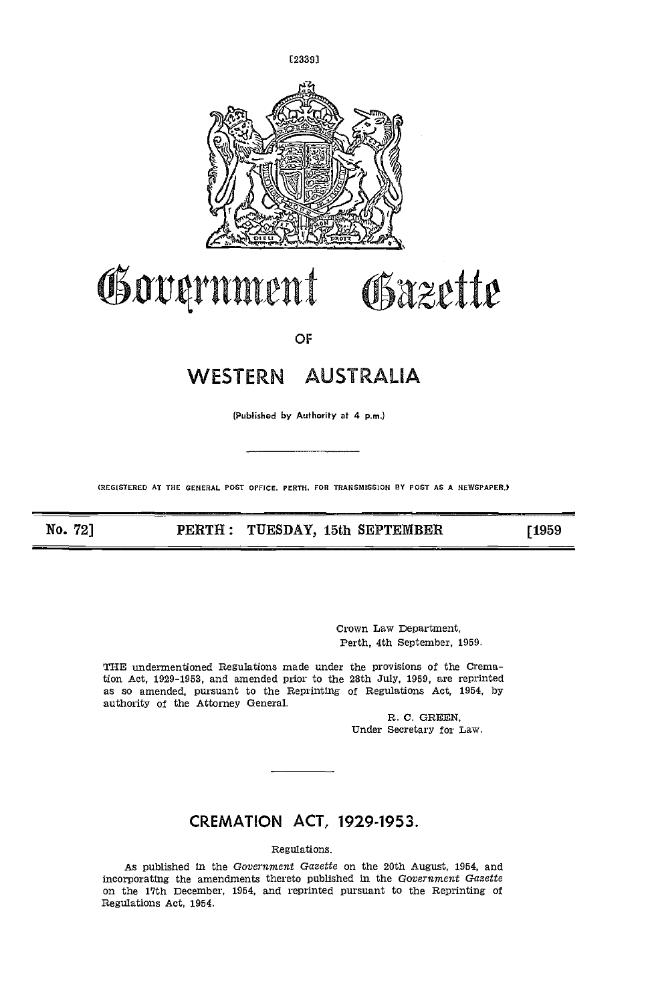

# Government Gazette

OF

# WESTERN AUSTRALIA

(Publishod by Authority at 4 p.m.)

(REGISTERED AT THE GENERAL POST OFFICE. PERTH, FOR TRANSMISSION BY POST AS A NEWSPAPER.)

No. 72] **PERTH: TUESDAY, 15th SEPTEMBER** [1959]

Crown Law Department, Perth, 4th september, 1959.

THE undermentioned Regulations made under the provisions of the Cremation Act, 1929-1953, and amended prior to the 28th July, 1959, are reprinted as so amended, pursuant to the Reprinting of Regulations Act, 1954, by authority of the Attorney General.

> R. C. GREEN, Under Secretary for Law.

## CREMATION ACT, 1929-1953.

Regulations.

As published in the Government Gazette on the 20th August, 1954, and incorporating the amendments thereto published in the Government Gazette on the 17th December, 1954, and reprinted pursuant to the Reprinting ot Regulations Act, 1954.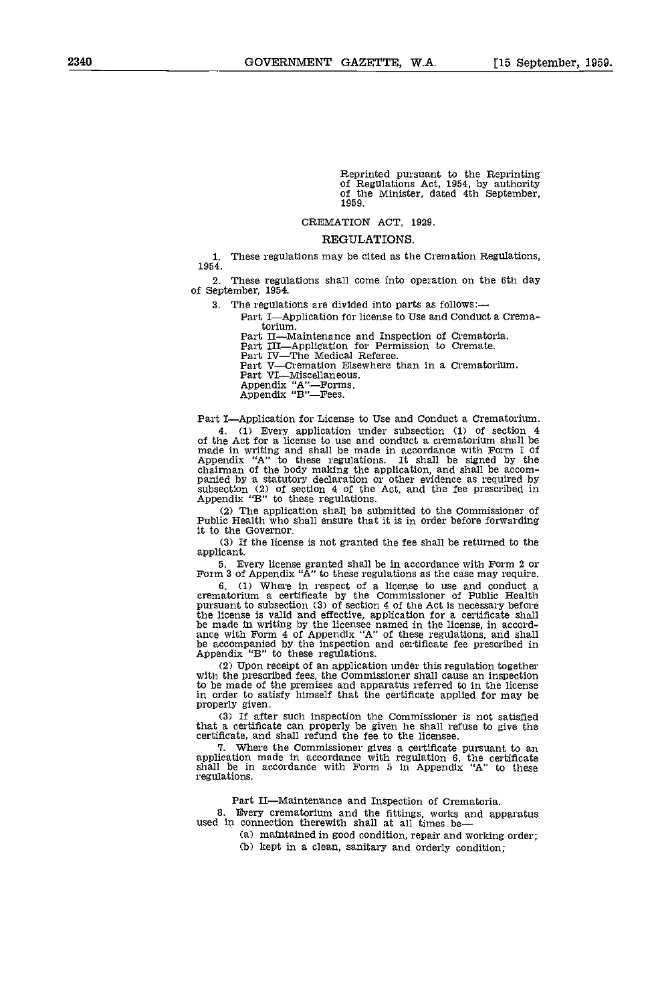Reprinted pursuant to the Reprinting of Regulations Act, 1954, by authority of the Minister, dated 4th September, 1959.

#### CREMATION ACT, 1929.

#### REGULATIONS.

1. These regulations may be cited as the Cremation Regulations, 1954.

2. These regulations shall come into operation on the 6th day of September, 1954.

- 3. The regulations are divided into parts as follows:
	- Part I-Application for license to Use and Conduct a Crematorium.
		- Part II—Maintenance and Inspection of Crematoria. Part III—Application for Permission to Cremate. Part IV—The Medical Referee.

Part V-Cremation Elsewhere than in a Crematorium.

Part VI—Miscellaneous.

Appendix "A".Forms. Appendix "B"Fees.

Part I-Application for License to Use and Conduct a Crematorium.

4. (1) Every application under subsection (1) of section 4 of the Act for a license to use and conduct a crematorium shall be made in writing and shall be made in accordance with Form I of Appendix "A" to these regulations. It shall be signed by the chairman of the body making the application, and shall be accom- panied by A statutory declaration or other evidence as required by subsection (2) of section 4 of the Act, and the fee prescribed in Appendix "B" to these regulations.

The application shall be submitted to the Commissioner of Public Health who shall ensure that it is in order before forwarding it to the Governor.

If the license is not granted the fee shall be returned to the applicant.

5. Every license granted shall be in accordance with Form 2 or Form 3 of Appendix "A" to these regulations as the case may require.

6. (1) where in respect of a license to use and conduct a crematorium a certificate by the Commissioner of Public Health pursuant to subsection (3) of section 4 of the Act is necessary before the license is valid and effective, application for a certificate shall<br>be made in writing by the licensee named in the license, in accord-<br>ance with Form 4 of Appendix "A" of these regulations, and shall<br>be accompanied b

 $(2)$  Upon receipt of an application under this regulation together with the prescribed fees, the Commissioner shall cause an inspection to be made of the premises and apparatus referred to in the license in order to satisfy himself that the certificate applied for may be properly given.

If after such inspection the Commissioner is not satisfied that a certificate can properly be given he shall refuse to give the certificate, and shall refund the fee to the licensee.

1. Where the Commissioner gives a certificate pursuant to an application made in accordance with regulation 6, the certificate shall be in accordance with Form 5 in Appendix "A" to these regulations.

Part II-Maintenance and Inspection of Crematoria.

8. Every crematorium and the fittings, works and apparatus used in connection therewith shall at all times be—

- maintained in good condition, repair and working order;
- (b) kept in a clean, sanitary and orderly condition;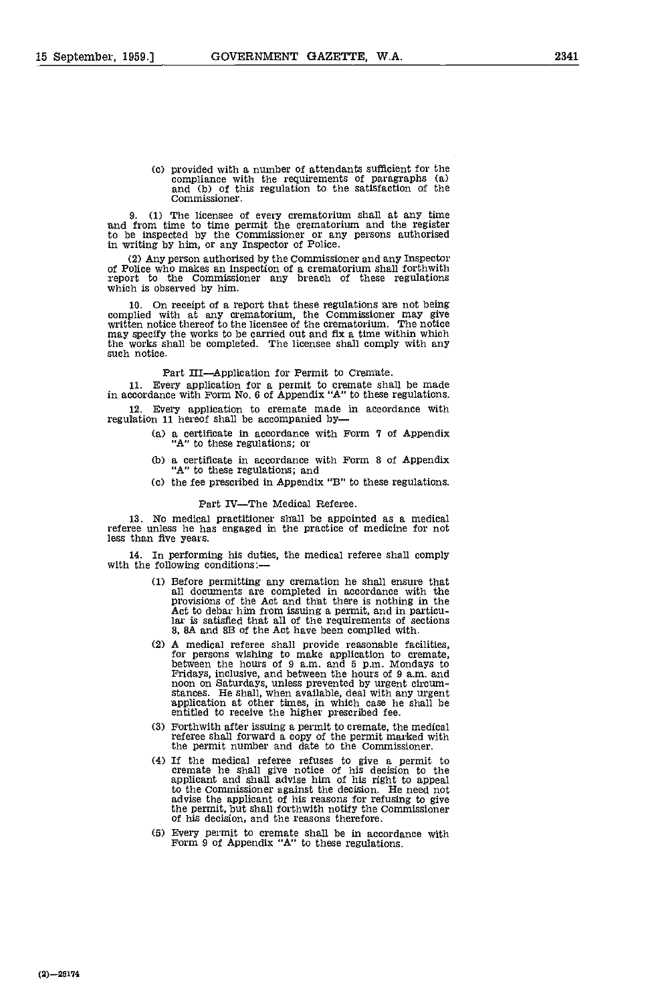(c) provided with a number of attendants sufficient for the compliance with the requirements of paragraphs (a) and (b) of this regulation to the satisfaction of the Commissioner.

(1) The licensee of every crematorium shall at any time 'and from time to time permit the crematorium and the register to be inspected by the Commissioner or any persons authorised in writing by him, or any Inspector of Police.

(2) Any person authorised by the Commissioner and any Inspector of Police who makes an inspection of a crematorium shall forthwith report to the Commissioner any breach of these regulations which is observed by him.

On receipt of a report that these regulations re not being complied with at any crematorium, the Commissioner may give written notice thereof to the licensee of the crematorium. The notice may specify the works to be carried out and fix a time within which the works shall be completed. The licensee shall comply with any such notice.

Part III—Application for Permit to Cremate.<br>Every application for a permit to cremate shall be made in accordance with Form No. 6 of Appendix "A" to these regulations.

Every application to cremate made in accordance with regulation 11 hereof shall be accompanied by-

- (a) a certificate in accordance with Form 7 of Appendix "A" to these regulations; or
- Cb) a certificate in accordance with Form 8 of Appendix "A" to these regulations; and
- Cc) the fee prescribed in Appendix "B" to these regulations.

#### Part IV-The Medical Referee.

No medical practitioner shall be appointed as a medical referee unless he has engaged in the practice of medicine for not less than five years.

14. In performing his duties, the medical referee shall comply with the following conditions:—

- Before permitting any cremation he shall ensure that all documents are completed in accordance with the provisions of the Act and that there is nothing in the Act to debar him from issuing a permit, and in particular is satisfied that all of the requirements of sections 8, BA and 83 of the Act have been complied with.
- A medical referee shall provide reasonable facilities, for persons wishing to make applieation to cremate, between the hours of 9 am, and 5 p.m. Mondays to Fridays, inclusive, and between the hours of 9 a.m. and noon on Saturdays, unless prevented by urgent circum- stances. He shall, when available, deal with any urgent application at other times, in which case he shall be entitled to receive the higher prescribed fee.
- Forthwith after issuing a permit to cremate, the medical referee shall forward a copy of the permit marked with the permit number and date to the Commissioner.
- If the medical referee refuses to give a permit to cremate he shall give notice of his decision to the applicant and shall advise him of his right to appeal to the Commissioner against the decision. He need not advise the applicant of his reasons for refusing to give the permit, but shall forthwith notify the Commissioner of his decision, and the reasons therefore.
- Every permit to cremate shall be in accordance with Form 9 of Appendix "A" to these regulations.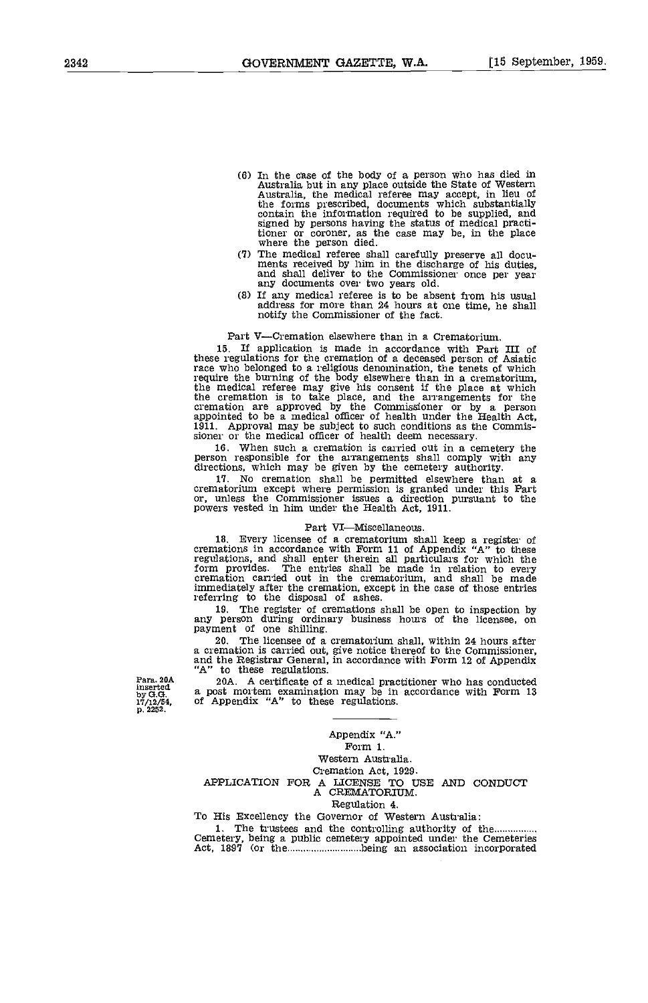- In the case of the body of a person who has died in Australia but in any place outside the State of Western Australia, the medical referee may accept, in lieu of the forms prescribed, documents which substantially contain the information required to be supplied, and signed by persons having the status of medical practi-tioner or coroner as the case may be, in the place where the person died
- The medical referee shall carefully preserve all docu- ments received by hint in the discharge of his duties, and shall deliver to the Commissioner once per year any documents over two years old.
- (3) If any medical referee is to be absent from his usual address for more than 24 hours at one time, he shall notify the Commissioner of the fact.

#### Part V-Cremation elsewhere than in a Crematorium.

If application is made in accordance with Part III of these regulations for the cremation of a deceased person of Asiatic race who belonged to a religious denomination, the tenets of which require the burning of the body elsewhere than in a crematorium, the medical referee may give his consent if the place at which the cremation is to take pl cremation are approved by the Commissioner or by a person appointed to be a medical officer of health under the Health Act, 1911. Approval may be subject to such conditions as the Commis-sioner or the medical officer of health deem necessary,

16. When such a cremation is carried out in a cemetery the person responsible for the arrangements shall comply with any directions, which may be given by the cemetery authority.

17. No cremation shall be permitted elsewhere than at a crematorium except where permission is granted under this Part or, unless the Commissioner issues a direction pursuant to the powers vested in him under the Health Ac

#### Part VI-Miscellaneous.

16. Every licensee of a crematorium shall keep a register of cremations in accordance with Form 11 of Appendix "A" to these regulations, and shall enter therein all particulars for which the form provides. The entries shall be made in relation to every cremation carried out in the crematorium, and shall be made Form provides. The cremation carried out in the cremation, and shall be made<br>immediately after the cremation, except in the case of those entries<br>referring to the disposal of ashes.

The register of cremations shall be open to inspection by any person during ordinary business hours of the licensee, on payment of one shilling.

The licensee of a crematorium shall, within 24 hours after a cremation is carried out, give notice thereof to the Commissioner, and the Registrar General, in accordance with Form 12 of Appendix "A" to these regulations.

Para. 20A<br>inserted a nost 2 20A. A certificate of a medical practitioner who has conducted a post mortem examination may be in accordance with Form 13 of Appendix "A" to these regulations.

by **G.G.**<br>17/12/54, p. 2252.

> Appendix "A." Form 1. Western Australia Cremation Act, 1929. APPLICATION FOR A LICENSE TO USE AND CONDUCT A CREMATORIUM.

#### Regulation 4.

To His Excellency the Governor of Western Australia:

1. The trustees and the controlling authority of the Cemetery, being a public cemetery appointed under the Cemeteries Act, 1897 (or the **being an association** incorporated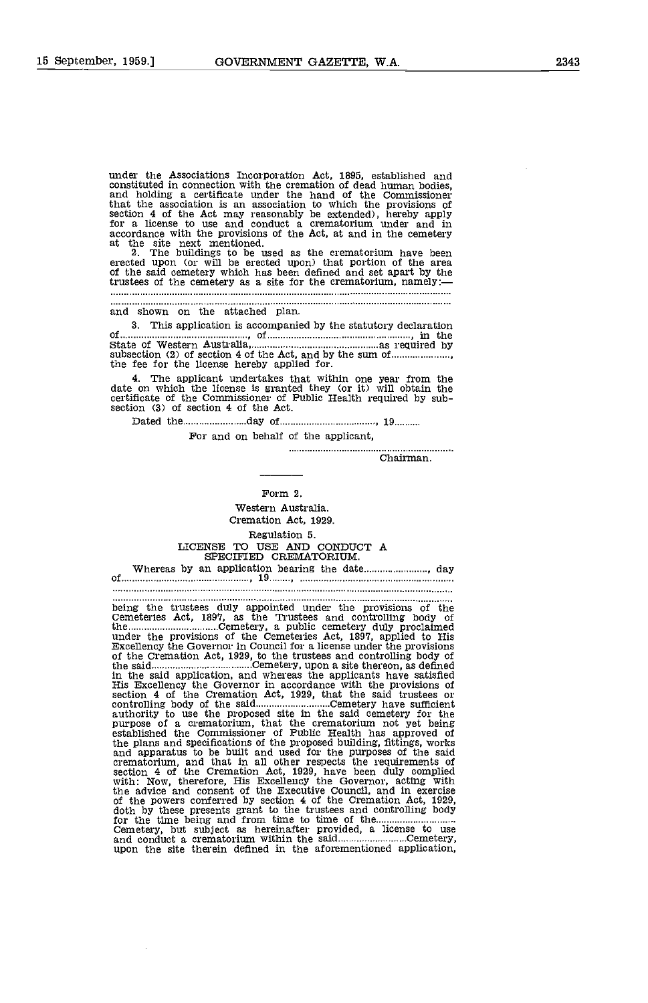under the Associations Incorporation Act, 1895, established and constituted in connection with the cremation of dead human bodies, and holding a certificate under the hand of the Commissioner that the association is an association to which the provisions of section 4 of the Act may reasonably be extended), hereby apply for a license to use and conduct a crematorium under and in accordance with the provisions of the Act, at and in the cemetery at the site next mentioned.

2. The buildings to be used as the crematorium have been erected upon (or will be erected upon) that portion of the area of the said cemetery which has been defined and set apart by the trustees of the cemetery as a site for the crematorium, namely:

and shown on the attached plan.

3. This application is accompanied by the statutory declaration of  $\overline{\text{S}}$ ,  $\overline{\text{S}}$ ,  $\overline{\text{S}}$ ,  $\overline{\text{S}}$ ,  $\overline{\text{S}}$ ,  $\overline{\text{S}}$ ,  $\overline{\text{S}}$ ,  $\overline{\text{S}}$ ,  $\overline{\text{S}}$ ,  $\overline{\text{S}}$ ,  $\overline{\text{S}}$ ,  $\overline{\text{S}}$ ,  $\overline{\text{S}}$ ,  $\overline{\text{S}}$ ,  $\overline{\text{S}}$ ,  $\overline{\text{S}}$ ,  $\overline{\text{S}}$ ,  $\overline{\text{S}}$ ,  $\over$ 

The applicant undertakes that within one year from the date on which the license is granted they (or it) will obtain the certificate of the Commissioner of Public Health required by sub- section (3) of section 4 of the Act.

Dated the 19 minutes and 19 of 19 minutes and 19 minutes and 19 minutes and 19 minutes are not all the 19 minutes and 19 minutes are not all the 19 minutes and 19 minutes are not all the 19 minutes and 19 minutes are not a

For and on behalf of the applicant,

Entertainment of the Chairman. . . . . . . . . . . . . . . . . . . .

## Form 2.

Western Australia Cremation Act, 1929. Regulation 5. LICENSE TO USE AND CONDUCT A SPECIFIED CREMATORIUM.

Whereas by an application bearing the date........................, day of ,19

being the trustees duly appointed under the provisions of the Cemeteries Act, 1897, as the Trustees and controlling body of the Cemetery, a public cemetery duly proclaimed under the provisions of the Cemeteries Act, 1897, applied to His Excellency the Governor In Council for a license under the provisions of the Cremation Act, 1929, to the trustees and controlling bcdy of the said Cemetery, upon a site thereon, as defined in the said application, and whereas the applicants have satisfied His Excellency the Governor in accordance with the provisions of section 4 of the Cremation Act, 1929, that the said trustees or controlling body of the said Cemetery have sumcient authority to use the proposed site in the said cemetery for the purpose of a crematorium, that the crematorium not yet being established the Commissioner of Public Health has approved of the plans and specifications of the proposed building, fittings, works and apparatus to be built and used for the purposes of the said crematorium, and that in all other respects the requirements of section 4 of the Cremation Act, 1929, have been duly complied with: Now, therefore, His Excellency the Governor, acting with the advice and consent of the Executive Council, and in exercise<br>of the powers conferred by section 4 of the Cremation Act, 1929,<br>doth by these presents grant to the trustees and controlling body<br>for the time being and fro and conduct a crematorium within the said...............................Cemetery, upon the site therein defined in the aforementioned application,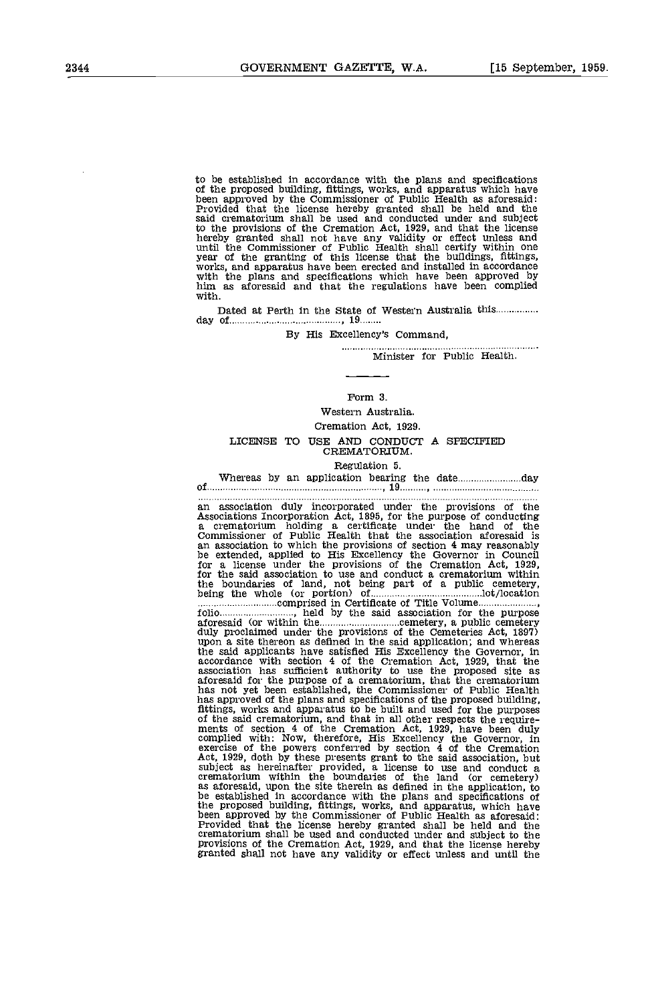to be established in accordance with the plans and specifications of the proposed building, fittings, works, and apparatus which have been approved by the Commissioner of Public Health as aforesaid: said crematorium shall be used and conducted under and subject to the provisions of the Cremation Act, 1929, and that the license hereby granted shall not have any validity or effect unless and until the Commissioner of Public Health shall certify within one year of the granting of this license that the buildings, fittings, works, and apparatus have been erected and installed in accordance with the plans and spec

Dated at Perth in the State of Western Australia this day of 19

#### By His Excellency's Command,

Minister for Public Health,

#### Form 3.

Western Australia. Cremation Act, 1929. LICENSE TO USE AND CONDUCT A SPECIFIED CREMATORIUM.

Regulation 5. Whereas by an application bearing the date day of .19

an association duly incorporated under the provisions of the Associations Incorporation Act, 1895, for the purpose of conducting a crematorium holding a certificate under the hand of the Commissioner of Public Health that the association aforesaid is an association to which the provisions of section 4 may reasonably<br>be extended, applied to His Excellency the Governor in Council<br>for a license under the provisions of the Gremation Act, 1929,<br>for the said association to aforesaid (or within the cemetery, a public cemetery duly proclaimed under the provisions of the Cemeteries Act, 1897) upon a site thereon as defined in the said application; and whereas the said applicants have satisfied His Excellency the Governor, in accordance with section 4 of the Cremation Act, 1929, that the association has sufficient authority to use the proposed site as aforesaid for the purpose o has not yet been established, the Commissioner of Public Health has approved of the plans and specifications of the proposed building, fittings, works and apparatus to be built and used for the purposes of the said crematorium, and that in all other respects the requirements of section exercise of the powers conferred by section 4 of the Cremation Act, 1929, doth by these presents grant to the said association, but subject as hereinafter provided, a license to use and conduct a cremation crematorium wit the proposed building, fittings, works, and apparatus, which have been approved by the Commissioner of Public Health as aforesaid: Provided that the license hereby granted shall be held and the crematorium shall be used and conducted under and subject to the crematorium shall be used and conducted under and subject to the provisions of the Cremation Act, 1929, and that the license hereby granted shall not have an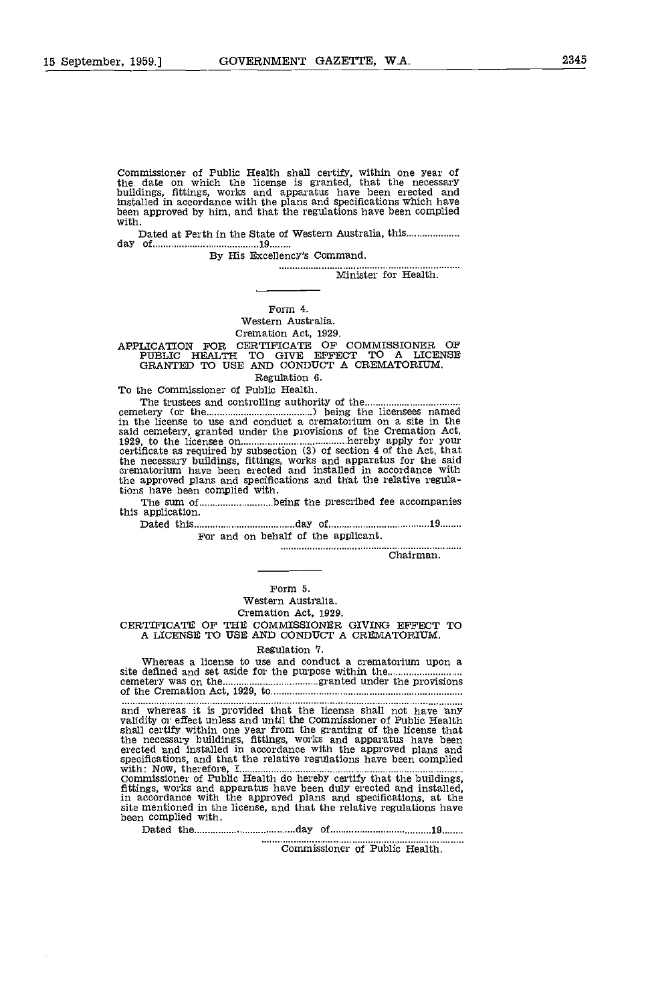Commissioner of Public Health shall certify, within one year of the date on which the license is granted, that the necessary buildings, fittings, works and apparatus have been erected and installed in accordance with the plans and specifications which have been approved by him, and that the regulations have been complied with.

Dated at Perth in the State of Western Australia, this day of <sup>19</sup>

By His Excellency's Comnand.

................... Minister for Health.

#### Form 4.

Western Australia.

Cremation Act, 1929.

APPLICATION FOR CERTIFICATE OF COMMISSIONER OF PUBLIC HEALTh TO GIVE EFFECT TO A LICENSE GRANTED TO USE AND CONDUCT A CREMATORrUM.

Regulation 6.

To the Commissioner of Public Health.

The trustees and controlling authority of the *cemetery* (or the *maximum in* being the licensees named<br>in the license to use and conduct a crematorium on a site in the said cemetery, granted under the provisions of the Cremation Act, 1929, to the licensee on hereby apply for your certificate as required by subsection (3) of section 4 of the Act, that the necessary buildings, fittings, works and apparatus for the said crematorium have been erected and installed in accordance with the approved plans and specifications and that the relative regulations have been complied with. tions have been complied with.<br>The sum of ...............................being the prescribed fee accompanies

this application.

Dated this day of 19

For and on behalf of the applicant.

Chairman.

#### Form 5. Western Australia. Cremation Act, 1929.

CERTIFICATE OF THE COMMISSIONER GIVING ERFECT TO A LICENSE TO USE AND CONDUCT A CREMATORIUM.

#### Regulation 7.

Whereas a license to use and conduct a crematorium upon a site defined and set aside for the purpose within the cemetery was on the final communications and granted under the provisions of the Cremation Act, 1929, to the communication and the Cremation Act, 1929, to the communication of the Cremation Act, 1929, to the communication

and whereas it is provided that the license shall not have any validity or effect unless and until the Commissioner of Public Health shall certify within one year from the granting of the license that the necessary buildings, fittings, works and apparatus have been erected and installed in accordance with the approved plans and specifications, and that the relative regulations have been complied with: Now, therefore, I Commissioner of Public Health do hereby certify that the buildings, fittings, works and apparatus have been duly erected and installed, in accordance with the approved plans and specifications, at the site mentioned in the license, and that the relative regulations have been complied with.

Dated the day of 19

Commissioner of Public Health.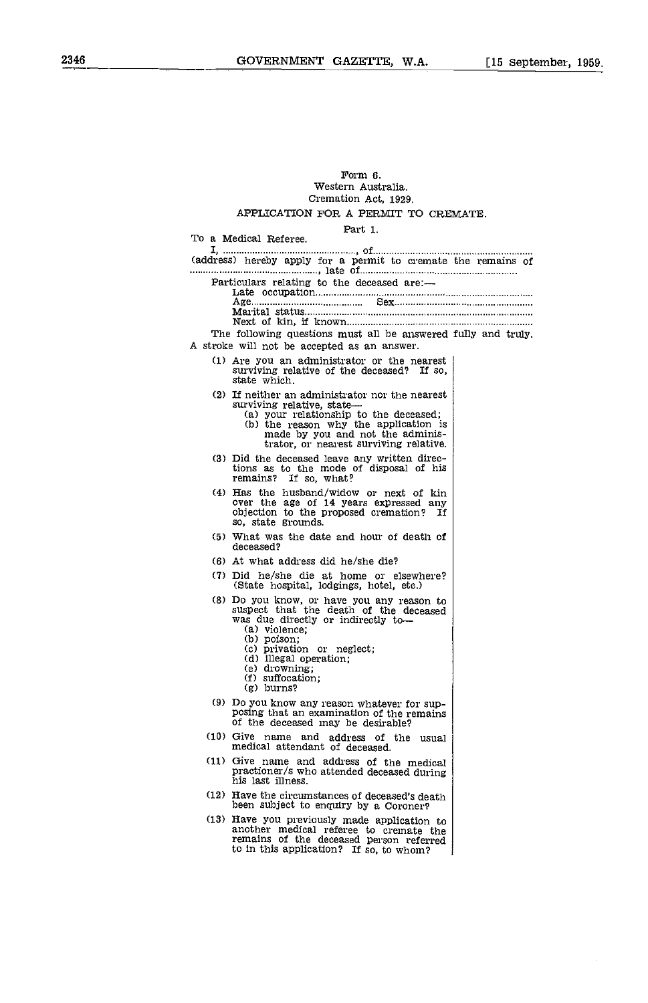#### Form 6. Western Australia. Cremation Act, 1929.

#### APPLICATION FOR A PERMIT TO CREMATE.

Part 1.

To a Medical Referee. I, , of... (address) hereby apply for a permit to cremate the remains of maintenant main and the of the deceased are:—<br>Particulars relating to the deceased are:— Particulars relating to the deceased are: Late occupation Age Sex Marital status Next of kin, if known The following questions must all be answered fully and truly A stroke will not be accepted as an answer. (1) Are you an administrator or the nearest surviving relative of the deceased? If so, state which. (2) If neither an administrator nor the nearest surviving relative, state— $(2)$  your relationship to the deceased;  $(3)$  the reason why the application is made by you and not the administrator, or nearest surviving relative. (3) Did the deceased leave any written direc-tions as to the mode of disposal of his remains? If so, what? (4) Has the husband/widow or next of kin over the age of 14 years expressed any objection to the proposed cremation? If so, state grounds. (5) What was the date and hour of death of deceased? (6) At what address did he/she die? (7) Did he/she die at home or elsewhere? (State hospital, lodgings, hotel, etc.) (8) Do you know, or have you any reason to suspect that the death of the deceased was due directly or indirectly to— (a) violence; (a) violence;<br>
(b) poison;<br>
(c) privation or neglect;<br>
(d) illegal operation;<br>
(f) suffocation;<br>
(g) burns? (9) Do you know any reason whatever for sup- posing that an examination of the remains of the deceased may be desirable? (10) Give name and address of the usual medical attendant of deceased. (11) Give name and address of the medical practioner/s who attended deceased during his last illness. (12) Have the circumstances of deceased's death been subject to enquiry by a Coroner? (13) Have you previously made application to another medical referee to cremate the remains of the deceased person referred to in this application? If so, to whom?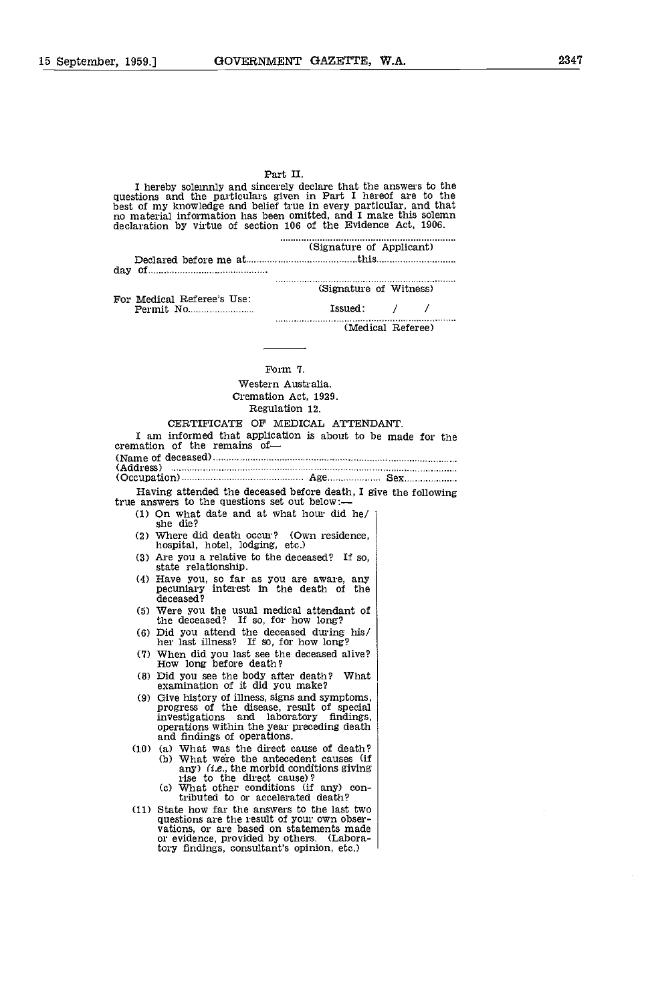| Part II.                                                                                                                                                                                                                                                                                                                                        |
|-------------------------------------------------------------------------------------------------------------------------------------------------------------------------------------------------------------------------------------------------------------------------------------------------------------------------------------------------|
| I hereby solemnly and sincerely declare that the answers to the<br>questions and the particulars given in Part I hereof are to the<br>best of my knowledge and belief true in every particular, and that<br>no material information has been omitted, and I make this solemn<br>declaration by virtue of section 106 of the Evidence Act, 1906. |
| (Signature of Applicant)                                                                                                                                                                                                                                                                                                                        |
|                                                                                                                                                                                                                                                                                                                                                 |
|                                                                                                                                                                                                                                                                                                                                                 |
| (Signature of Witness)                                                                                                                                                                                                                                                                                                                          |
| For Medical Referee's Use.<br>$\text{Issued}:$ / /<br>Permit No                                                                                                                                                                                                                                                                                 |
| (Medical Referee)                                                                                                                                                                                                                                                                                                                               |
|                                                                                                                                                                                                                                                                                                                                                 |
|                                                                                                                                                                                                                                                                                                                                                 |
| Form 7                                                                                                                                                                                                                                                                                                                                          |
| Western Australia.                                                                                                                                                                                                                                                                                                                              |
| Cremation Act, 1929.                                                                                                                                                                                                                                                                                                                            |
| Regulation 12.                                                                                                                                                                                                                                                                                                                                  |
| CERTIFICATE OF MEDICAL ATTENDANT.<br>I am informed that application is about to be made for the                                                                                                                                                                                                                                                 |
| cremation of the remains of-                                                                                                                                                                                                                                                                                                                    |
|                                                                                                                                                                                                                                                                                                                                                 |
|                                                                                                                                                                                                                                                                                                                                                 |
| Having attended the deceased before death, I give the following                                                                                                                                                                                                                                                                                 |
| true answers to the questions set out below:—                                                                                                                                                                                                                                                                                                   |
| (1) On what date and at what hour did he/<br>she die?                                                                                                                                                                                                                                                                                           |
| $(2)$ Where did death occur? (Own residence,<br>hospital, hotel, lodging, etc.)                                                                                                                                                                                                                                                                 |
| (3) Are you a relative to the deceased? If so,<br>state relationship.                                                                                                                                                                                                                                                                           |
| (4) Have you, so far as you are aware, any<br>pecuniary interest in the death of the<br>deceased?                                                                                                                                                                                                                                               |
| (5) Were you the usual medical attendant of<br>the deceased? If so, for how long?                                                                                                                                                                                                                                                               |
| (6) Did you attend the deceased during his/<br>her last illness? If so, for how long?                                                                                                                                                                                                                                                           |
| (7) When did you last see the deceased alive?<br>How long before death?                                                                                                                                                                                                                                                                         |
| (8) Did you see the body after death? What<br>examination of it did you make?                                                                                                                                                                                                                                                                   |
| (9) Give history of illness, signs and symptoms,<br>progress of the disease, result of special<br>and laboratory findings,<br>investigations<br>operations within the year preceding death<br>and findings of operations.                                                                                                                       |
| (10) (a) What was the direct cause of death?<br>(b) What were the antecedent causes (if<br>any) (i.e., the morbid conditions giving                                                                                                                                                                                                             |

- rise to the direct cause)? What other conditions (if any) contributed to or accelerated death?
- (11) State how far the answers to the last two questions are the result of your own obser-<br>vations, or are based on statements made<br>or evidence, provided by others. (Laboratory findings, consultant's opinion, etc.)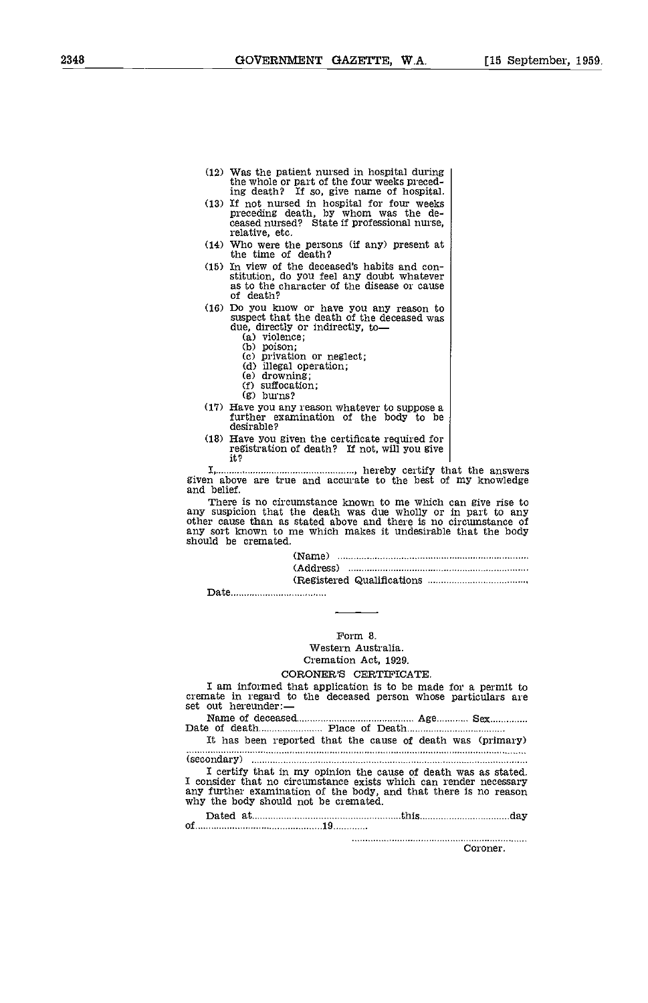- (12) Was the patient nursed in hospital during the whole or part of the four weeks preced-
- ing death? If so, give name of hospital. (13) If not nursed in hospital for four weeks preceding death, by whom was the de- ceased nursed? State if professional nurse, relative, etc.
- (14) who were the persons (if any) present at the time of death?
- (15) In view of the deceased's habits and con- stitution, do you feel any doubt whatever as to the character of the disease or cause of death?
- (16) Do you know or have you any reason to suspect that the death of the deceased was due, directly or indirectly, to
	- (a) violence;<br>(b) poison;
	-
	- poison; privation or neglect;
	- illegal operation; drowning; suffocation;
	-
	- $\begin{bmatrix} f \\ g \end{bmatrix}$  suffection;
	-
- (17) Have you any reason whatever to suppose a further examination of the body to be desirable?
- (18) Have you given the certificate required for registration of death? If not, will you give it?

I, , hereby certify that the answers given above are true and accurate to the best of my knowledge and belief.

There is no circumstance known to me which can give rise to any suspicion that the death was due wholly or in part to any other cause than as stated above and there is no circumstance of any sort known to me which makes it undesirable that the body should be cremated.

> (Name) (Address) (Registered Qualifications

Date

## Form 8.

Western Australia. Cremation Act, 1929.

#### CORONER'S CERTIFICATE.

I am informed that application is to be made for a permit to cremate in regard to the deceased person whose particulars are set out hereunder:—

Name of deceased Date of death Place of Death ............ Age............. Sex...............

It has been reported that the cause of death was (primary)

(secondary)

I certify that in my opinion the cause of death was as stated I consider that no circumstance exists which can render necessary any further examination of the body, and that there is no reason why the body should not be cremated.

Dated at 19 minutes and 19 minutes and 19 minutes and 19 minutes and 19 minutes and 19 minutes and 19 minutes and 19 minutes and 19 minutes and 19 minutes and 19 minutes and 19 minutes and 19 minutes and 19 minutes and 19

Coroner.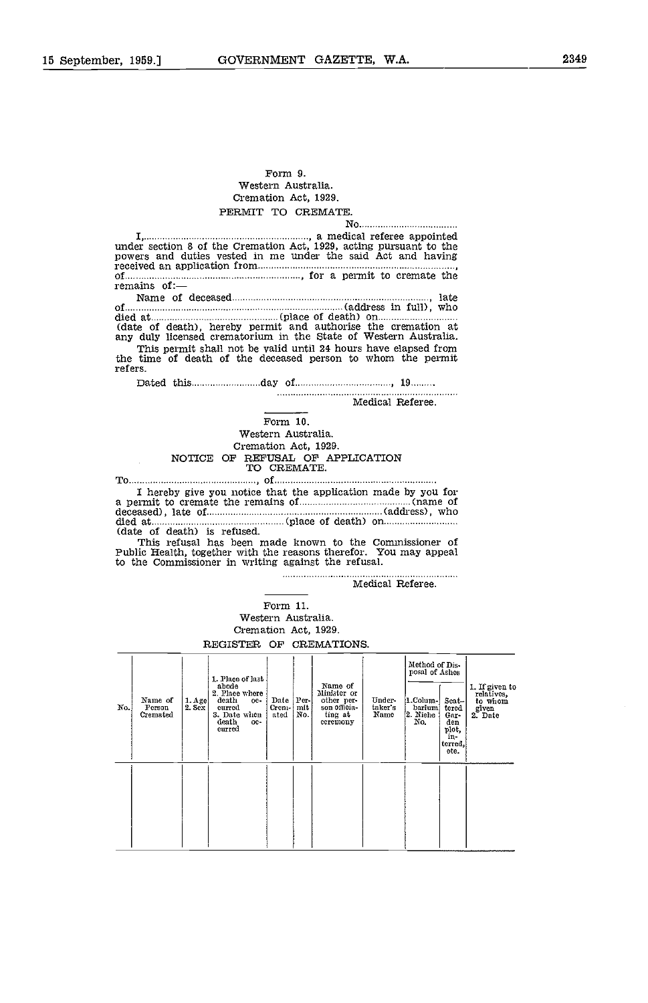### Form 9. Western Australia Cremation Act, 1929. PERMIT TO CREMATE.

I, , a medical referee appointed under section 8 of the Cremation Act, 1929, acting pursuant to the powers and duties vested in me under the said Act and having received an application from of , for a permit to cremate the remains of: Name of deceased , late of (address in full), who<br>died at (date of death), hereby permit and authorise the cremation at<br>any duly licensed crematorium in the State of Western Australia. This permit shall not be valid until 24 hours have elapsed from the time of death of the deceased person to whom the permit refers. Dated this day of <sup>19</sup> Medical Referee. Form 10. Western Australia. Cremation Act, 1929. NOTICE OF REFUSAL OF APPLICATION TO CREMATE. To ,of

I here is to cremate the remains of (name of deceased), late of (name of deceased), late of (name (place of death) on (address), who died at (place of death) on (date of death) is refused. (date of death) is refused. This refusal has been made known to the Commissioner of

Public Health, together with the reasons therefor. You may appeal to the Commissioner in writing against the refusal.

Medical Referee.

No

Form 11. Western Australia

Cremation Act, 1929.

REGISTER OF CREMATIONS.

| No. | Name of<br>Person<br>Cremated | $1. A$ ge<br>2.5 <sub>ex</sub> | 1. Place of last<br>abode<br>2. Place where<br>death<br>oe-<br>eurred<br>3. Date when<br>death<br>oe-<br>eurred | Date   Per- <br>Crem-   mit<br>ated | No. | Name of<br>Minister or<br>other per-<br>son officia-<br>ting at<br>eeremony | Under-<br>taker's<br>Name | Method of Dis-<br>posal of Ashes<br>1.Colum-<br>barium<br>2. Niehe<br>No. | $Scat -$<br>tered<br>Gar-<br>den<br>plot,<br>in-<br>terred.<br>ete. | 1. If given to<br>relatives,<br>to whom<br>given<br>2. Date |
|-----|-------------------------------|--------------------------------|-----------------------------------------------------------------------------------------------------------------|-------------------------------------|-----|-----------------------------------------------------------------------------|---------------------------|---------------------------------------------------------------------------|---------------------------------------------------------------------|-------------------------------------------------------------|
|     |                               |                                |                                                                                                                 |                                     |     |                                                                             |                           |                                                                           |                                                                     |                                                             |